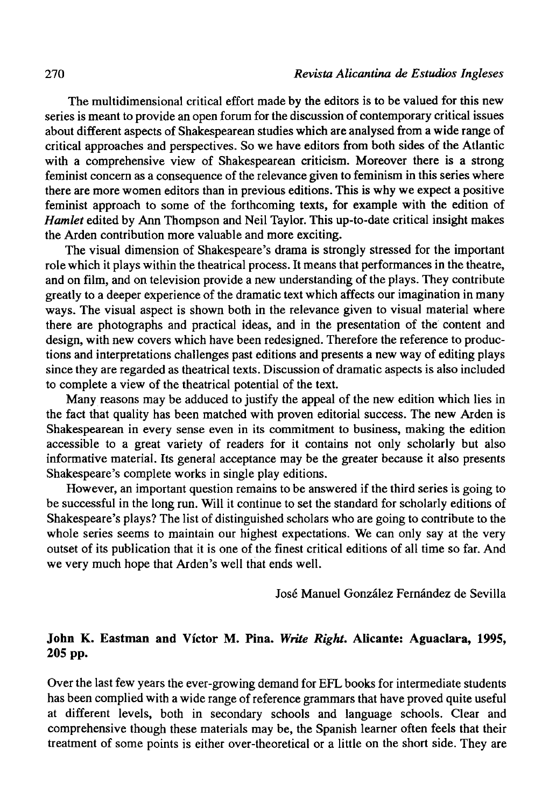The multidimensional critical effort made by the editors is to be valued for this new series is meant to provide an open forum for the discussion of contemporary critical issues about different aspects of Shakespearean studies which are analysed from a wide range of critical approaches and perspectives. So we have editors from both sides of the Atlantic with a comprehensive view of Shakespearean criticism. Moreover there is a strong feminist concern as a consequence of the relevance given to feminism in this series where there are more women editors than in previous editions. This is why we expect a positive feminist approach to some of the forthcoming texts, for example with the edition of *Hamlet* edited by Ann Thompson and Neil Taylor. This up-to-date critical insight makes the Arden contribution more valuable and more exciting.

The visual dimension of Shakespeare's drama is strongly stressed for the important role which it plays within the theatrical process. It means that performances in the theatre, and on film, and on television provide a new understanding of the plays. They contribute greatly to a deeper experience of the dramatic text which affects our imagination in many ways. The visual aspect is shown both in the relevance given to visual material where there are photographs and practical ideas, and in the presentation of the contení and design, with new covers which have been redesigned. Therefore the reference to productions and interpretations challenges past editions and presents a new way of editing plays since they are regarded as theatrical texts. Discussion of dramatic aspects is also included to complete a view of the theatrical potential of the text.

Many reasons may be adduced to justify the appeal of the new edition which lies in the fact that quality has been matched with proven editorial success. The new Arden is Shakespearean in every sense even in its commitment to business, making the edition accessible to a great variety of readers for it contains not only scholarly but also informative material. Its general acceptance may be the greater because it also presents Shakespeare's complete works in single play editions.

However, an important question remains to be answered if the third series is going to be successful in the long run. Will it continué to set the standard for scholarly editions of Shakespeare's plays? The list of distinguished scholars who are going to contribute to the whole series seems to maintain our highest expectations. We can only say at the very outset of its publication that it is one of the finest critical editions of all time so far. And we very much hope that Arden's well that ends well.

José Manuel González Fernández de Sevilla

## **John K. Eastman and Víctor M. Pina.** *Write Right.* **Alicante: Aguaclara, 1995, 205 pp.**

Over the last few years the ever-growing demand for EFL books for intermedíate students has been complied with a wide range of reference grammars that have proved quite useful at different levels, both in secondary schools and language schools. Clear and comprehensive though these materials may be, the Spanish learner often feels that their treatment of some points is either over-theoretical or a little on the short side. They are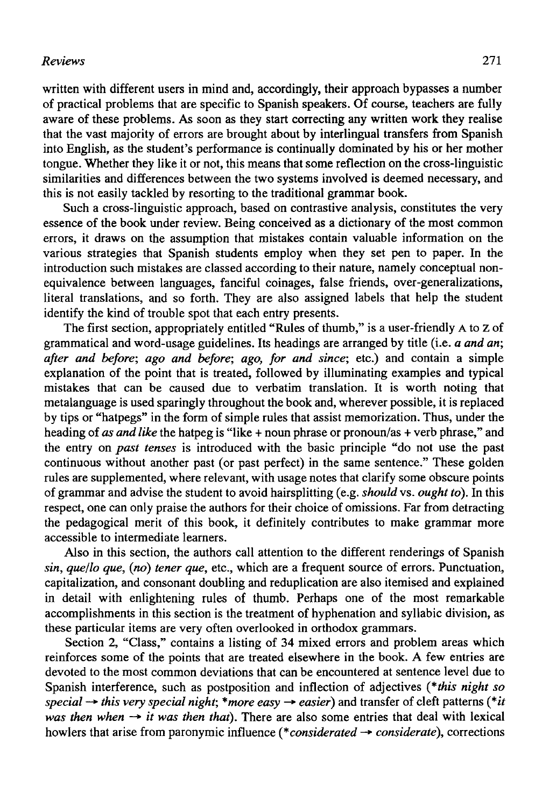## *Reviews* 271

written with different users in mind and, accordingly, their approach bypasses a number of practical problems that are specific to Spanish speakers. Of course, teachers are fully aware of these problems. As soon as they start correcting any written work they realise that the vast majority of errors are brought about by interlingual transfers from Spanish into English, as the student's performance is continually dominated by his or her mother tongue. Whether they like it or not, this means that some reflection on the cross-linguistic similarities and differences between the two systems involved is deemed necessary, and this is not easily tackled by resorting to the traditional grammar book.

Such a cross-linguistic approach, based on contrastive analysis, constitutes the very essence of the book under review. Being conceived as a dictionary of the most common errors, it draws on the assumption that mistakes contain valuable information on the various strategies that Spanish students employ when they set pen to paper. In the introduction such mistakes are classed according to their nature, namely conceptual nonequivalence between languages, fanciful coinages, false friends, over-generalizations, literal translations, and so forth. They are also assigned labels that help the student identify the kind of trouble spot that each entry presents.

The first section, appropriately entitled "Rules of thumb," is a user-friendly A to z of grammatical and word-usage guidelines. Its headings are arranged by title (i.e. *a and an; after and before; ago and before; ago, for and since;* etc.) and contain a simple explanation of the point that is treated, followed by illuminating examples and typical mistakes that can be caused due to verbatim translation. It is worth noting that metalanguage is used sparingly throughout the book and, wherever possible, it is replaced by tips or "hatpegs" in the form of simple rules that assist memorization. Thus, under the heading of *as and like* the hatpeg is "like + noun phrase or pronoun/as + verb phrase," and the entry on *past tenses* is introduced with the basic principie "do not use the past continuous without another past (or past perfect) in the same sentence." These golden rules are supplemented, where relevant, with usage notes that clarify some obscure points of grammar and advise the student to avoid hairsplitting (e.g. *should* vs. *ought to).* In this respect, one can only praise the authors for their choice of omissions. Far from detracting the pedagogical merit of this book, it definitely contributes to make grammar more accessible to intermedíate learners.

Also in this section, the authors cali attention to the different renderings of Spanish *sin, que/lo que, (no) tener que,* etc., which are a frequent source of errors. Punctuation, capitalization, and consonant doubling and reduplication are also itemised and explained in detail with enlightening rules of thumb. Perhaps one of the most remarkable accomplishments in this section is the treatment of hyphenation and syllabic división, as these particular items are very often overlooked in orthodox grammars.

Section 2, "Class," contains a listing of 34 mixed errors and problem areas which reinforces some of the points that are treated elsewhere in the book. A few entries are devoted to the most common deviations that can be encountered at sentence level due to Spanish interference, such as postposition and inflection of adjectives *(\*this night so*   $special \rightarrow this$  *very special night; \*more easy*  $\rightarrow$  *easier*) and transfer of cleft patterns (\**it was then when*  $\rightarrow$  *it was then that*). There are also some entries that deal with lexical howlers that arise from paronymic influence (\**considerated -> considerate*), corrections